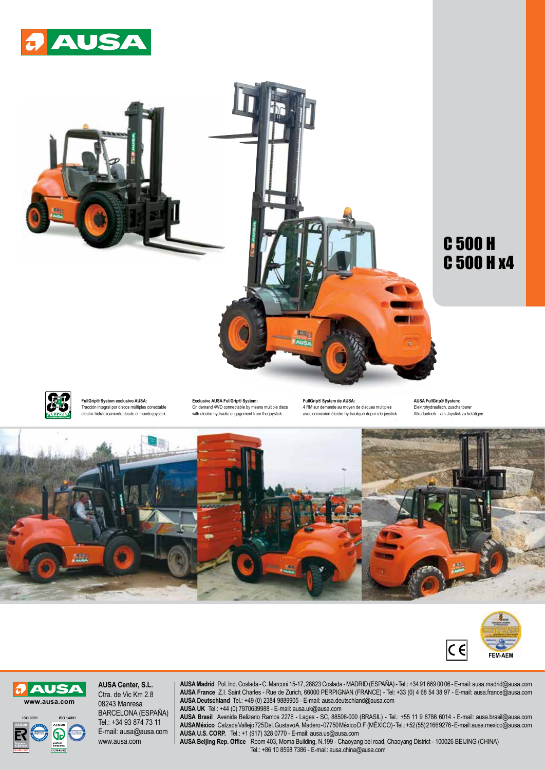



## C 500 H C 500 H x4



**FullGrip® System exclusivo AUSA:**  Tracción integral por discos múltiples conectable electro-hidráulicamente desde el mando joystick.

**Exclusive AUSA FullGrip® System:**  On demand 4WD connectable by means multiple discs with electro-hydraulic engagement from the joystick.

. avec connexion électro-hydraulique depui s le joystick. **FullGrip® System de AUSA:**  4 RM sur demande au moyen de disques multiples

**AUSA FullGrip® System:**  Elektrohydraulisch, zuschaltbarer Allradantrieb – am Joystick zu betätigen.







**AUSA Center, S.L.** Ctra. de Vic Km 2.8 08243 Manresa BARCELONA (ESPAÑA) Tel.: +34 93 874 73 11 E-mail: ausa@ausa.com www.ausa.com

**AUSA Madrid** Pol. Ind. Coslada - C. Marconi 15-17, 28823 Coslada - MADRID (ESPAÑA) - Tel.: +34 91 669 00 06 - E-mail: ausa.madrid@ausa.com **AUSA France** Z.I. Saint Charles - Rue de Zürich, 66000 PERPIGNAN (FRANCE) - Tel: +33 (0) 4 68 54 38 97 - E-mail: ausa.france@ausa.com **AUSA Deutschland** Tel.: +49 (0) 2384 9889905 - E-mail: ausa.deutschland@ausa.com **AUSA UK** Tel.: +44 (0) 7970639988 - E-mail: ausa.uk@ausa.com

**AUSA Brasil** Avenida Belizario Ramos 2276 - Lages - SC, 88506-000 (BRASIL) - Tel.: +55 11 9 8786 6014 - E-mail: ausa.brasil@ausa.com **AUSA México** Calzada Vallejo 725 Del. Gustavo A. Madero - 07750 México D.F. (MÉXICO) - Tel.: +52 (55) 2166 9276 - E-mail: ausa.mexico@ausa.com **AUSA U.S. CORP.** Tel.: +1 (917) 328 0770 - E-mail: ausa.us@ausa.com

**AUSA Beijing Rep. Office** Room 403, Moma Building, N.199 - Chaoyang bei road, Chaoyang District - 100026 BEIJING (CHINA) Tel.: +86 10 8598 7386 - E-mail: ausa.china@ausa.com